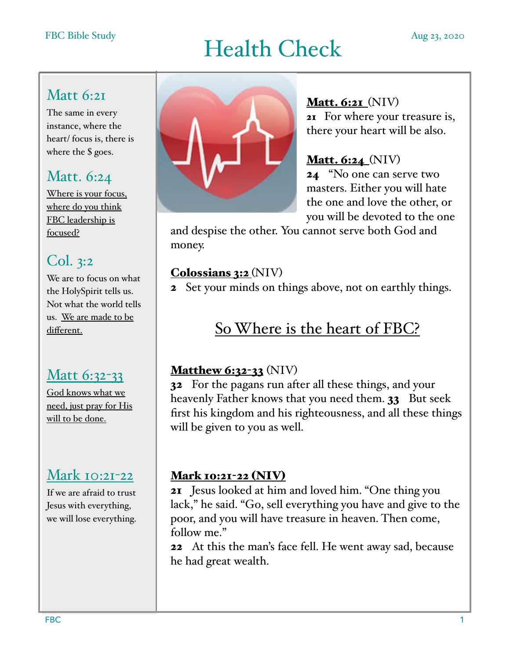## Matt 6:21

The same in every instance, where the heart/ focus is, there is where the \$ goes.

## Matt. 6:24

Where is your focus, where do you think FBC leadership is focused?

# Col. 3:2

We are to focus on what the HolySpirit tells us. Not what the world tells us. We are made to be different.

## Matt 6:32-33

God knows what we need, just pray for His will to be done.

## Mark 10:21-22

If we are afraid to trust Jesus with everything, we will lose everything.



### Matt. 6:21 (NIV)

21 For where your treasure is, there your heart will be also.

## **Matt. 6:24 (NIV)**

24 "No one can serve two masters. Either you will hate the one and love the other, or you will be devoted to the one

and despise the other. You cannot serve both God and money.

#### Colossians 3:2 (NIV)

2 Set your minds on things above, not on earthly things.

## So Where is the heart of FBC?

#### **Matthew 6:32-33 (NIV)**

32 For the pagans run after all these things, and your heavenly Father knows that you need them. 33 But seek first his kingdom and his righteousness, and all these things will be given to you as well.

#### Mark 10:21-22 (NIV)

21 Jesus looked at him and loved him. "One thing you lack," he said. "Go, sell everything you have and give to the poor, and you will have treasure in heaven. Then come, follow me."

22 At this the man's face fell. He went away sad, because he had great wealth.